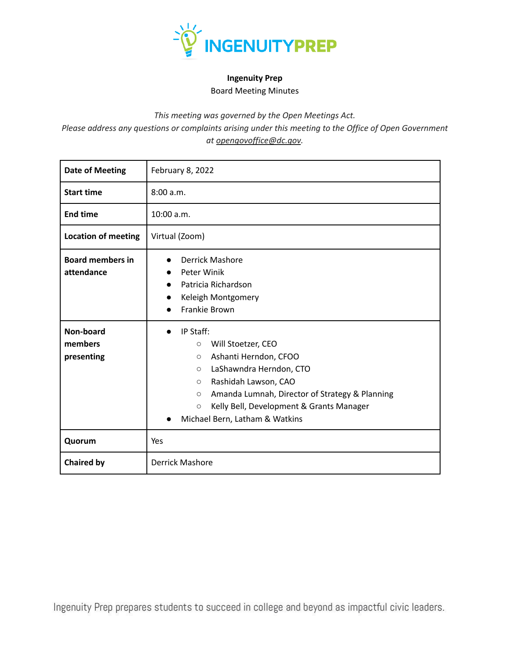

## **Ingenuity Prep** Board Meeting Minutes

*This meeting was governed by the Open Meetings Act.*

*Please address any questions or complaints arising under this meeting to the Office of Open Government at opengovoffice@dc.gov.*

| <b>Date of Meeting</b>                | February 8, 2022                                                                                                                                                                                                                                                                                                                        |  |  |
|---------------------------------------|-----------------------------------------------------------------------------------------------------------------------------------------------------------------------------------------------------------------------------------------------------------------------------------------------------------------------------------------|--|--|
| <b>Start time</b>                     | 8:00 a.m.                                                                                                                                                                                                                                                                                                                               |  |  |
| <b>End time</b>                       | 10:00 a.m.                                                                                                                                                                                                                                                                                                                              |  |  |
| <b>Location of meeting</b>            | Virtual (Zoom)                                                                                                                                                                                                                                                                                                                          |  |  |
| <b>Board members in</b><br>attendance | <b>Derrick Mashore</b><br>Peter Winik<br>Patricia Richardson<br>$\bullet$<br>Keleigh Montgomery<br>Frankie Brown<br>$\bullet$                                                                                                                                                                                                           |  |  |
| Non-board<br>members<br>presenting    | IP Staff:<br>$\bullet$<br>Will Stoetzer, CEO<br>$\circ$<br>Ashanti Herndon, CFOO<br>$\circ$<br>LaShawndra Herndon, CTO<br>$\circ$<br>Rashidah Lawson, CAO<br>$\circ$<br>Amanda Lumnah, Director of Strategy & Planning<br>$\circ$<br>Kelly Bell, Development & Grants Manager<br>$\circ$<br>Michael Bern, Latham & Watkins<br>$\bullet$ |  |  |
| Quorum                                | Yes                                                                                                                                                                                                                                                                                                                                     |  |  |
| <b>Chaired by</b>                     | <b>Derrick Mashore</b>                                                                                                                                                                                                                                                                                                                  |  |  |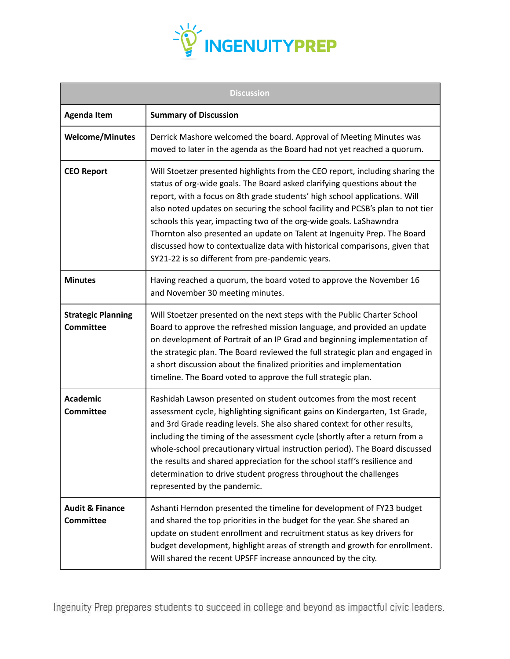

| <b>Discussion</b>                              |                                                                                                                                                                                                                                                                                                                                                                                                                                                                                                                                                                                                                |  |  |
|------------------------------------------------|----------------------------------------------------------------------------------------------------------------------------------------------------------------------------------------------------------------------------------------------------------------------------------------------------------------------------------------------------------------------------------------------------------------------------------------------------------------------------------------------------------------------------------------------------------------------------------------------------------------|--|--|
| <b>Agenda Item</b>                             | <b>Summary of Discussion</b>                                                                                                                                                                                                                                                                                                                                                                                                                                                                                                                                                                                   |  |  |
| <b>Welcome/Minutes</b>                         | Derrick Mashore welcomed the board. Approval of Meeting Minutes was<br>moved to later in the agenda as the Board had not yet reached a quorum.                                                                                                                                                                                                                                                                                                                                                                                                                                                                 |  |  |
| <b>CEO Report</b>                              | Will Stoetzer presented highlights from the CEO report, including sharing the<br>status of org-wide goals. The Board asked clarifying questions about the<br>report, with a focus on 8th grade students' high school applications. Will<br>also noted updates on securing the school facility and PCSB's plan to not tier<br>schools this year, impacting two of the org-wide goals. LaShawndra<br>Thornton also presented an update on Talent at Ingenuity Prep. The Board<br>discussed how to contextualize data with historical comparisons, given that<br>SY21-22 is so different from pre-pandemic years. |  |  |
| <b>Minutes</b>                                 | Having reached a quorum, the board voted to approve the November 16<br>and November 30 meeting minutes.                                                                                                                                                                                                                                                                                                                                                                                                                                                                                                        |  |  |
| <b>Strategic Planning</b><br><b>Committee</b>  | Will Stoetzer presented on the next steps with the Public Charter School<br>Board to approve the refreshed mission language, and provided an update<br>on development of Portrait of an IP Grad and beginning implementation of<br>the strategic plan. The Board reviewed the full strategic plan and engaged in<br>a short discussion about the finalized priorities and implementation<br>timeline. The Board voted to approve the full strategic plan.                                                                                                                                                      |  |  |
| <b>Academic</b><br><b>Committee</b>            | Rashidah Lawson presented on student outcomes from the most recent<br>assessment cycle, highlighting significant gains on Kindergarten, 1st Grade,<br>and 3rd Grade reading levels. She also shared context for other results,<br>including the timing of the assessment cycle (shortly after a return from a<br>whole-school precautionary virtual instruction period). The Board discussed<br>the results and shared appreciation for the school staff's resilience and<br>determination to drive student progress throughout the challenges<br>represented by the pandemic.                                 |  |  |
| <b>Audit &amp; Finance</b><br><b>Committee</b> | Ashanti Herndon presented the timeline for development of FY23 budget<br>and shared the top priorities in the budget for the year. She shared an<br>update on student enrollment and recruitment status as key drivers for<br>budget development, highlight areas of strength and growth for enrollment.<br>Will shared the recent UPSFF increase announced by the city.                                                                                                                                                                                                                                       |  |  |

Ingenuity Prep prepares students to succeed in college and beyond as impactful civic leaders.